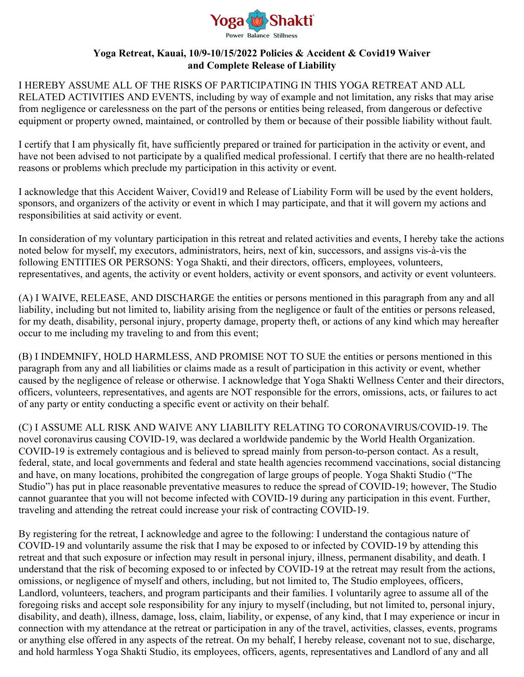

## **Yoga Retreat, Kauai, 10/9-10/15/2022 Policies & Accident & Covid19 Waiver and Complete Release of Liability**

I HEREBY ASSUME ALL OF THE RISKS OF PARTICIPATING IN THIS YOGA RETREAT AND ALL RELATED ACTIVITIES AND EVENTS, including by way of example and not limitation, any risks that may arise from negligence or carelessness on the part of the persons or entities being released, from dangerous or defective equipment or property owned, maintained, or controlled by them or because of their possible liability without fault.

I certify that I am physically fit, have sufficiently prepared or trained for participation in the activity or event, and have not been advised to not participate by a qualified medical professional. I certify that there are no health-related reasons or problems which preclude my participation in this activity or event.

I acknowledge that this Accident Waiver, Covid19 and Release of Liability Form will be used by the event holders, sponsors, and organizers of the activity or event in which I may participate, and that it will govern my actions and responsibilities at said activity or event.

In consideration of my voluntary participation in this retreat and related activities and events, I hereby take the actions noted below for myself, my executors, administrators, heirs, next of kin, successors, and assigns vis-à-vis the following ENTITIES OR PERSONS: Yoga Shakti, and their directors, officers, employees, volunteers, representatives, and agents, the activity or event holders, activity or event sponsors, and activity or event volunteers.

(A) I WAIVE, RELEASE, AND DISCHARGE the entities or persons mentioned in this paragraph from any and all liability, including but not limited to, liability arising from the negligence or fault of the entities or persons released, for my death, disability, personal injury, property damage, property theft, or actions of any kind which may hereafter occur to me including my traveling to and from this event;

(B) I INDEMNIFY, HOLD HARMLESS, AND PROMISE NOT TO SUE the entities or persons mentioned in this paragraph from any and all liabilities or claims made as a result of participation in this activity or event, whether caused by the negligence of release or otherwise. I acknowledge that Yoga Shakti Wellness Center and their directors, officers, volunteers, representatives, and agents are NOT responsible for the errors, omissions, acts, or failures to act of any party or entity conducting a specific event or activity on their behalf.

(C) I ASSUME ALL RISK AND WAIVE ANY LIABILITY RELATING TO CORONAVIRUS/COVID-19. The novel coronavirus causing COVID-19, was declared a worldwide pandemic by the World Health Organization. COVID-19 is extremely contagious and is believed to spread mainly from person-to-person contact. As a result, federal, state, and local governments and federal and state health agencies recommend vaccinations, social distancing and have, on many locations, prohibited the congregation of large groups of people. Yoga Shakti Studio ("The Studio") has put in place reasonable preventative measures to reduce the spread of COVID-19; however, The Studio cannot guarantee that you will not become infected with COVID-19 during any participation in this event. Further, traveling and attending the retreat could increase your risk of contracting COVID-19.

By registering for the retreat, I acknowledge and agree to the following: I understand the contagious nature of COVID-19 and voluntarily assume the risk that I may be exposed to or infected by COVID-19 by attending this retreat and that such exposure or infection may result in personal injury, illness, permanent disability, and death. I understand that the risk of becoming exposed to or infected by COVID-19 at the retreat may result from the actions, omissions, or negligence of myself and others, including, but not limited to, The Studio employees, officers, Landlord, volunteers, teachers, and program participants and their families. I voluntarily agree to assume all of the foregoing risks and accept sole responsibility for any injury to myself (including, but not limited to, personal injury, disability, and death), illness, damage, loss, claim, liability, or expense, of any kind, that I may experience or incur in connection with my attendance at the retreat or participation in any of the travel, activities, classes, events, programs or anything else offered in any aspects of the retreat. On my behalf, I hereby release, covenant not to sue, discharge, and hold harmless Yoga Shakti Studio, its employees, officers, agents, representatives and Landlord of any and all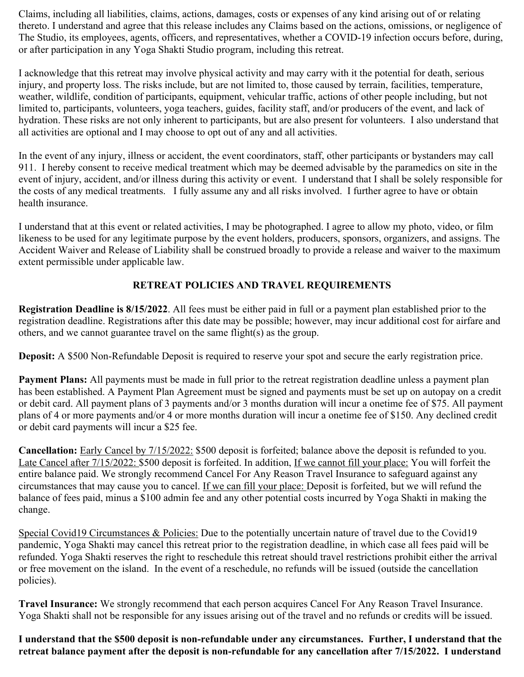Claims, including all liabilities, claims, actions, damages, costs or expenses of any kind arising out of or relating thereto. I understand and agree that this release includes any Claims based on the actions, omissions, or negligence of The Studio, its employees, agents, officers, and representatives, whether a COVID-19 infection occurs before, during, or after participation in any Yoga Shakti Studio program, including this retreat.

I acknowledge that this retreat may involve physical activity and may carry with it the potential for death, serious injury, and property loss. The risks include, but are not limited to, those caused by terrain, facilities, temperature, weather, wildlife, condition of participants, equipment, vehicular traffic, actions of other people including, but not limited to, participants, volunteers, yoga teachers, guides, facility staff, and/or producers of the event, and lack of hydration. These risks are not only inherent to participants, but are also present for volunteers. I also understand that all activities are optional and I may choose to opt out of any and all activities.

In the event of any injury, illness or accident, the event coordinators, staff, other participants or bystanders may call 911. I hereby consent to receive medical treatment which may be deemed advisable by the paramedics on site in the event of injury, accident, and/or illness during this activity or event. I understand that I shall be solely responsible for the costs of any medical treatments. I fully assume any and all risks involved. I further agree to have or obtain health insurance.

I understand that at this event or related activities, I may be photographed. I agree to allow my photo, video, or film likeness to be used for any legitimate purpose by the event holders, producers, sponsors, organizers, and assigns. The Accident Waiver and Release of Liability shall be construed broadly to provide a release and waiver to the maximum extent permissible under applicable law.

# **RETREAT POLICIES AND TRAVEL REQUIREMENTS**

**Registration Deadline is 8/15/2022**. All fees must be either paid in full or a payment plan established prior to the registration deadline. Registrations after this date may be possible; however, may incur additional cost for airfare and others, and we cannot guarantee travel on the same flight(s) as the group.

**Deposit:** A \$500 Non-Refundable Deposit is required to reserve your spot and secure the early registration price.

**Payment Plans:** All payments must be made in full prior to the retreat registration deadline unless a payment plan has been established. A Payment Plan Agreement must be signed and payments must be set up on autopay on a credit or debit card. All payment plans of 3 payments and/or 3 months duration will incur a onetime fee of \$75. All payment plans of 4 or more payments and/or 4 or more months duration will incur a onetime fee of \$150. Any declined credit or debit card payments will incur a \$25 fee.

**Cancellation:** Early Cancel by 7/15/2022: \$500 deposit is forfeited; balance above the deposit is refunded to you. Late Cancel after 7/15/2022: \$500 deposit is forfeited. In addition, If we cannot fill your place: You will forfeit the entire balance paid. We strongly recommend Cancel For Any Reason Travel Insurance to safeguard against any circumstances that may cause you to cancel. If we can fill your place: Deposit is forfeited, but we will refund the balance of fees paid, minus a \$100 admin fee and any other potential costs incurred by Yoga Shakti in making the change.

Special Covid19 Circumstances & Policies: Due to the potentially uncertain nature of travel due to the Covid19 pandemic, Yoga Shakti may cancel this retreat prior to the registration deadline, in which case all fees paid will be refunded. Yoga Shakti reserves the right to reschedule this retreat should travel restrictions prohibit either the arrival or free movement on the island. In the event of a reschedule, no refunds will be issued (outside the cancellation policies).

**Travel Insurance:** We strongly recommend that each person acquires Cancel For Any Reason Travel Insurance. Yoga Shakti shall not be responsible for any issues arising out of the travel and no refunds or credits will be issued.

**I understand that the \$500 deposit is non-refundable under any circumstances. Further, I understand that the retreat balance payment after the deposit is non-refundable for any cancellation after 7/15/2022. I understand**